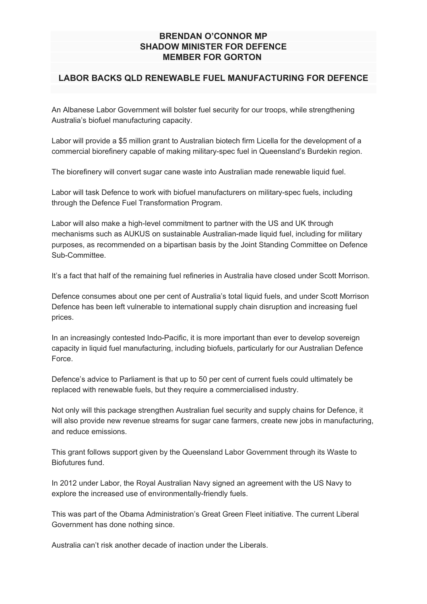## **BRENDAN O'CONNOR MP SHADOW MINISTER FOR DEFENCE MEMBER FOR GORTON**

## **LABOR BACKS QLD RENEWABLE FUEL MANUFACTURING FOR DEFENCE**

An Albanese Labor Government will bolster fuel security for our troops, while strengthening Australia's biofuel manufacturing capacity.

Labor will provide a \$5 million grant to Australian biotech firm Licella for the development of a commercial biorefinery capable of making military-spec fuel in Queensland's Burdekin region.

The biorefinery will convert sugar cane waste into Australian made renewable liquid fuel.

Labor will task Defence to work with biofuel manufacturers on military-spec fuels, including through the Defence Fuel Transformation Program.

Labor will also make a high-level commitment to partner with the US and UK through mechanisms such as AUKUS on sustainable Australian-made liquid fuel, including for military purposes, as recommended on a bipartisan basis by the Joint Standing Committee on Defence Sub-Committee.

It's a fact that half of the remaining fuel refineries in Australia have closed under Scott Morrison.

Defence consumes about one per cent of Australia's total liquid fuels, and under Scott Morrison Defence has been left vulnerable to international supply chain disruption and increasing fuel prices.

In an increasingly contested Indo-Pacific, it is more important than ever to develop sovereign capacity in liquid fuel manufacturing, including biofuels, particularly for our Australian Defence Force.

Defence's advice to Parliament is that up to 50 per cent of current fuels could ultimately be replaced with renewable fuels, but they require a commercialised industry.

Not only will this package strengthen Australian fuel security and supply chains for Defence, it will also provide new revenue streams for sugar cane farmers, create new jobs in manufacturing, and reduce emissions.

This grant follows support given by the Queensland Labor Government through its Waste to Biofutures fund.

In 2012 under Labor, the Royal Australian Navy signed an agreement with the US Navy to explore the increased use of environmentally-friendly fuels.

This was part of the Obama Administration's Great Green Fleet initiative. The current Liberal Government has done nothing since.

Australia can't risk another decade of inaction under the Liberals.